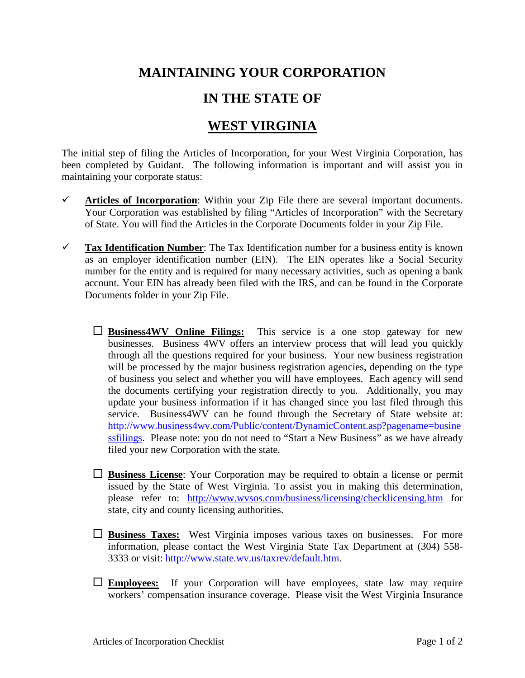## **MAINTAINING YOUR CORPORATION**

## **IN THE STATE OF**

## **WEST VIRGINIA**

The initial step of filing the Articles of Incorporation, for your West Virginia Corporation, has been completed by Guidant. The following information is important and will assist you in maintaining your corporate status:

- $\checkmark$  Articles of Incorporation: Within your Zip File there are several important documents. Your Corporation was established by filing "Articles of Incorporation" with the Secretary of State. You will find the Articles in the Corporate Documents folder in your Zip File.
- **Tax Identification Number**: The Tax Identification number for a business entity is known as an employer identification number (EIN). The EIN operates like a Social Security number for the entity and is required for many necessary activities, such as opening a bank account. Your EIN has already been filed with the IRS, and can be found in the Corporate Documents folder in your Zip File.
	- **Business4WV Online Filings:** This service is a one stop gateway for new businesses. Business 4WV offers an interview process that will lead you quickly through all the questions required for your business. Your new business registration will be processed by the major business registration agencies, depending on the type of business you select and whether you will have employees. Each agency will send the documents certifying your registration directly to you. Additionally, you may update your business information if it has changed since you last filed through this service. Business4WV can be found through the Secretary of State website at: [http://www.business4wv.com/Public/content/DynamicContent.asp?pagename=busine](http://www.business4wv.com/Public/content/DynamicContent.asp?pagename=businessfilings) [ssfilings.](http://www.business4wv.com/Public/content/DynamicContent.asp?pagename=businessfilings) Please note: you do not need to "Start a New Business" as we have already filed your new Corporation with the state.
	- **Business License**: Your Corporation may be required to obtain a license or permit issued by the State of West Virginia. To assist you in making this determination, please refer to: <http://www.wvsos.com/business/licensing/checklicensing.htm> for state, city and county licensing authorities.
	- **Business Taxes:** West Virginia imposes various taxes on businesses. For more information, please contact the West Virginia State Tax Department at (304) 558- 3333 or visit: [http://www.state.wv.us/taxrev/default.htm.](http://www.state.wv.us/taxrev/default.htm)
	- **Employees:** If your Corporation will have employees, state law may require workers' compensation insurance coverage. Please visit the West Virginia Insurance